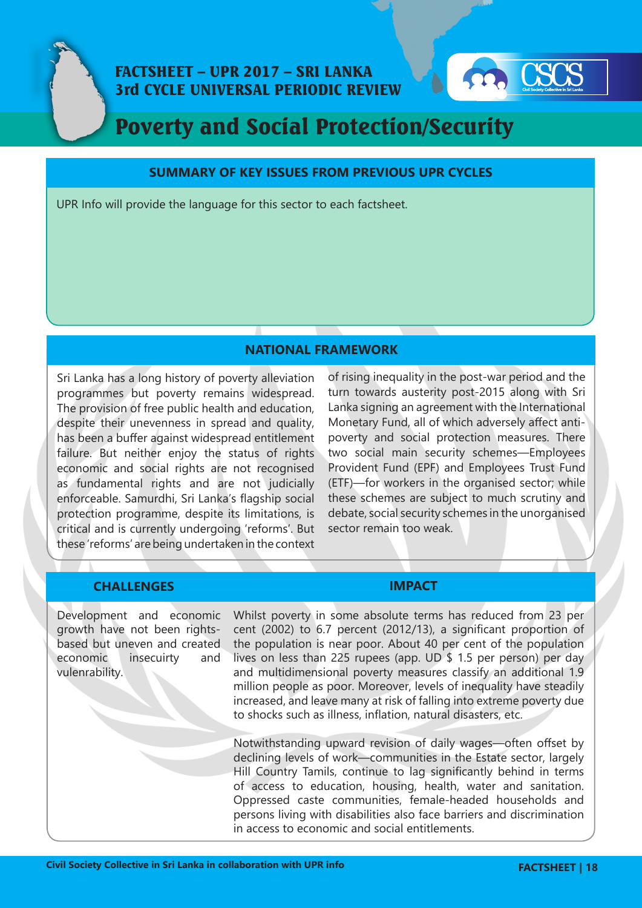



# Poverty and Social Protection/Security

### **SUMMARY OF KEY ISSUES FROM PREVIOUS UPR CYCLES**

UPR Info will provide the language for this sector to each factsheet.

## **NATIONAL FRAMEWORK**

Sri Lanka has a long history of poverty alleviation programmes but poverty remains widespread. The provision of free public health and education, despite their unevenness in spread and quality, has been a buffer against widespread entitlement failure. But neither enjoy the status of rights economic and social rights are not recognised as fundamental rights and are not judicially enforceable. Samurdhi, Sri Lanka's flagship social protection programme, despite its limitations, is critical and is currently undergoing 'reforms'. But these 'reforms' are being undertaken in the context of rising inequality in the post-war period and the turn towards austerity post-2015 along with Sri Lanka signing an agreement with the International Monetary Fund, all of which adversely affect antipoverty and social protection measures. There two social main security schemes—Employees Provident Fund (EPF) and Employees Trust Fund (ETF)—for workers in the organised sector; while these schemes are subject to much scrutiny and debate, social security schemes in the unorganised sector remain too weak.

# **CHALLENGES IMPACT**

Development and economic growth have not been rightsbased but uneven and created economic insecuirty and vulenrability.

Whilst poverty in some absolute terms has reduced from 23 per cent (2002) to 6.7 percent (2012/13), a significant proportion of the population is near poor. About 40 per cent of the population lives on less than 225 rupees (app. UD \$ 1.5 per person) per day and multidimensional poverty measures classify an additional 1.9 million people as poor. Moreover, levels of inequality have steadily increased, and leave many at risk of falling into extreme poverty due to shocks such as illness, inflation, natural disasters, etc.

Notwithstanding upward revision of daily wages—often offset by declining levels of work—communities in the Estate sector, largely Hill Country Tamils, continue to lag significantly behind in terms of access to education, housing, health, water and sanitation. Oppressed caste communities, female-headed households and persons living with disabilities also face barriers and discrimination in access to economic and social entitlements.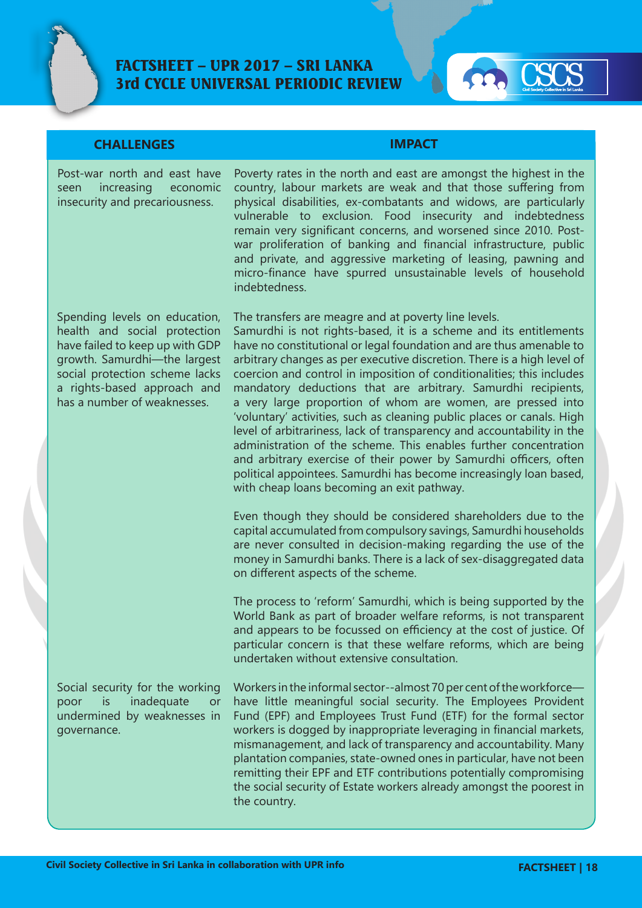

# FACTSHEET – UPR 2017 – SRI LANKA 3rd CYCLE UNIVERSAL PERIODIC REVIEW



# **CHALLENGES IMPACT**

Post-war north and east have seen increasing economic insecurity and precariousness.

Spending levels on education, health and social protection have failed to keep up with GDP growth. Samurdhi—the largest social protection scheme lacks a rights-based approach and has a number of weaknesses.

Social security for the working poor is inadequate or undermined by weaknesses in governance.

Poverty rates in the north and east are amongst the highest in the country, labour markets are weak and that those suffering from physical disabilities, ex-combatants and widows, are particularly vulnerable to exclusion. Food insecurity and indebtedness remain very significant concerns, and worsened since 2010. Postwar proliferation of banking and financial infrastructure, public and private, and aggressive marketing of leasing, pawning and micro-finance have spurred unsustainable levels of household indebtedness.

The transfers are meagre and at poverty line levels. Samurdhi is not rights-based, it is a scheme and its entitlements have no constitutional or legal foundation and are thus amenable to arbitrary changes as per executive discretion. There is a high level of coercion and control in imposition of conditionalities; this includes mandatory deductions that are arbitrary. Samurdhi recipients, a very large proportion of whom are women, are pressed into 'voluntary' activities, such as cleaning public places or canals. High level of arbitrariness, lack of transparency and accountability in the administration of the scheme. This enables further concentration and arbitrary exercise of their power by Samurdhi officers, often political appointees. Samurdhi has become increasingly loan based, with cheap loans becoming an exit pathway.

Even though they should be considered shareholders due to the capital accumulated from compulsory savings, Samurdhi households are never consulted in decision-making regarding the use of the money in Samurdhi banks. There is a lack of sex-disaggregated data on different aspects of the scheme.

The process to 'reform' Samurdhi, which is being supported by the World Bank as part of broader welfare reforms, is not transparent and appears to be focussed on efficiency at the cost of justice. Of particular concern is that these welfare reforms, which are being undertaken without extensive consultation.

Workers in the informal sector--almost 70 per cent of the workforce have little meaningful social security. The Employees Provident Fund (EPF) and Employees Trust Fund (ETF) for the formal sector workers is dogged by inappropriate leveraging in financial markets, mismanagement, and lack of transparency and accountability. Many plantation companies, state-owned ones in particular, have not been remitting their EPF and ETF contributions potentially compromising the social security of Estate workers already amongst the poorest in the country.